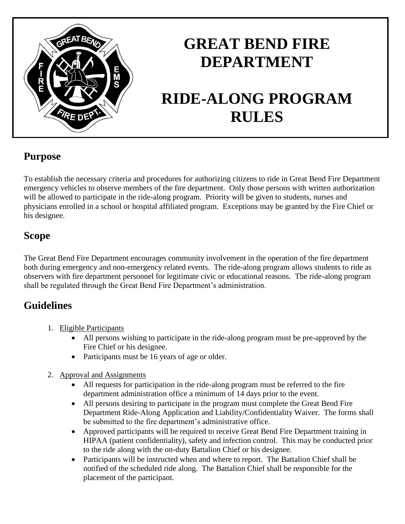

## **GREAT BEND FIRE DEPARTMENT**

# **RIDE-ALONG PROGRAM RULES**

## **Purpose**

To establish the necessary criteria and procedures for authorizing citizens to ride in Great Bend Fire Department emergency vehicles to observe members of the fire department. Only those persons with written authorization will be allowed to participate in the ride-along program. Priority will be given to students, nurses and physicians enrolled in a school or hospital affiliated program. Exceptions may be granted by the Fire Chief or his designee.

### **Scope**

The Great Bend Fire Department encourages community involvement in the operation of the fire department both during emergency and non-emergency related events. The ride-along program allows students to ride as observers with fire department personnel for legitimate civic or educational reasons. The ride-along program shall be regulated through the Great Bend Fire Department's administration.

## **Guidelines**

- 1. Eligible Participants
	- All persons wishing to participate in the ride-along program must be pre-approved by the Fire Chief or his designee.
	- Participants must be 16 years of age or older.
- 2. Approval and Assignments
	- All requests for participation in the ride-along program must be referred to the fire department administration office a minimum of 14 days prior to the event.
	- All persons desiring to participate in the program must complete the Great Bend Fire Department Ride-Along Application and Liability/Confidentiality Waiver. The forms shall be submitted to the fire department's administrative office.
	- Approved participants will be required to receive Great Bend Fire Department training in HIPAA (patient confidentiality), safety and infection control. This may be conducted prior to the ride along with the on-duty Battalion Chief or his designee.
	- Participants will be instructed when and where to report. The Battalion Chief shall be notified of the scheduled ride along. The Battalion Chief shall be responsible for the placement of the participant.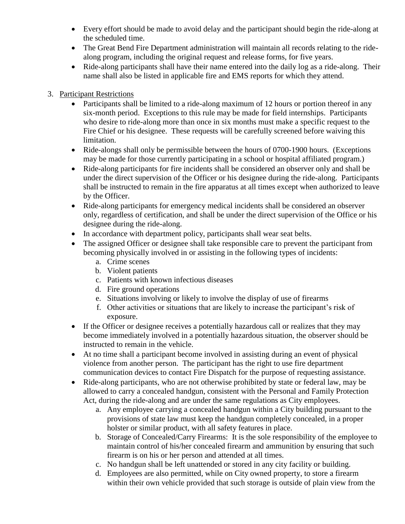- Every effort should be made to avoid delay and the participant should begin the ride-along at the scheduled time.
- The Great Bend Fire Department administration will maintain all records relating to the ridealong program, including the original request and release forms, for five years.
- Ride-along participants shall have their name entered into the daily log as a ride-along. Their name shall also be listed in applicable fire and EMS reports for which they attend.

#### 3. Participant Restrictions

- Participants shall be limited to a ride-along maximum of 12 hours or portion thereof in any six-month period. Exceptions to this rule may be made for field internships. Participants who desire to ride-along more than once in six months must make a specific request to the Fire Chief or his designee. These requests will be carefully screened before waiving this limitation.
- Ride-alongs shall only be permissible between the hours of 0700-1900 hours. (Exceptions may be made for those currently participating in a school or hospital affiliated program.)
- Ride-along participants for fire incidents shall be considered an observer only and shall be under the direct supervision of the Officer or his designee during the ride-along. Participants shall be instructed to remain in the fire apparatus at all times except when authorized to leave by the Officer.
- Ride-along participants for emergency medical incidents shall be considered an observer only, regardless of certification, and shall be under the direct supervision of the Office or his designee during the ride-along.
- In accordance with department policy, participants shall wear seat belts.
- The assigned Officer or designee shall take responsible care to prevent the participant from becoming physically involved in or assisting in the following types of incidents:
	- a. Crime scenes
	- b. Violent patients
	- c. Patients with known infectious diseases
	- d. Fire ground operations
	- e. Situations involving or likely to involve the display of use of firearms
	- f. Other activities or situations that are likely to increase the participant's risk of exposure.
- If the Officer or designee receives a potentially hazardous call or realizes that they may become immediately involved in a potentially hazardous situation, the observer should be instructed to remain in the vehicle.
- At no time shall a participant become involved in assisting during an event of physical violence from another person. The participant has the right to use fire department communication devices to contact Fire Dispatch for the purpose of requesting assistance.
- Ride-along participants, who are not otherwise prohibited by state or federal law, may be allowed to carry a concealed handgun, consistent with the Personal and Family Protection Act, during the ride-along and are under the same regulations as City employees.
	- a. Any employee carrying a concealed handgun within a City building pursuant to the provisions of state law must keep the handgun completely concealed, in a proper holster or similar product, with all safety features in place.
	- b. Storage of Concealed/Carry Firearms: It is the sole responsibility of the employee to maintain control of his/her concealed firearm and ammunition by ensuring that such firearm is on his or her person and attended at all times.
	- c. No handgun shall be left unattended or stored in any city facility or building.
	- d. Employees are also permitted, while on City owned property, to store a firearm within their own vehicle provided that such storage is outside of plain view from the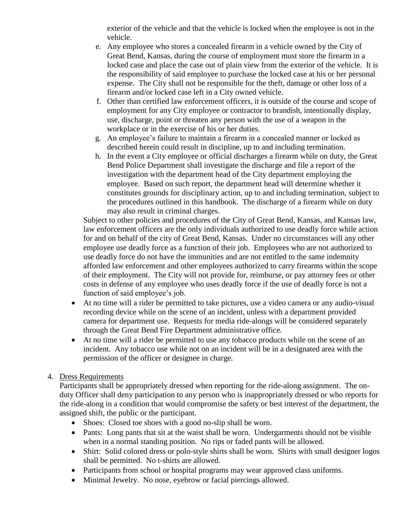exterior of the vehicle and that the vehicle is locked when the employee is not in the vehicle.

- e. Any employee who stores a concealed firearm in a vehicle owned by the City of Great Bend, Kansas, during the course of employment must store the firearm in a locked case and place the case out of plain view from the exterior of the vehicle. It is the responsibility of said employee to purchase the locked case at his or her personal expense. The City shall not be responsible for the theft, damage or other loss of a firearm and/or locked case left in a City owned vehicle.
- f. Other than certified law enforcement officers, it is outside of the course and scope of employment for any City employee or contractor to brandish, intentionally display, use, discharge, point or threaten any person with the use of a weapon in the workplace or in the exercise of his or her duties.
- g. An employee's failure to maintain a firearm in a concealed manner or locked as described herein could result in discipline, up to and including termination.
- h. In the event a City employee or official discharges a firearm while on duty, the Great Bend Police Department shall investigate the discharge and file a report of the investigation with the department head of the City department employing the employee. Based on such report, the department head will determine whether it constitutes grounds for disciplinary action, up to and including termination, subject to the procedures outlined in this handbook. The discharge of a firearm while on duty may also result in criminal charges.

Subject to other policies and procedures of the City of Great Bend, Kansas, and Kansas law, law enforcement officers are the only individuals authorized to use deadly force while action for and on behalf of the city of Great Bend, Kansas. Under no circumstances will any other employee use deadly force as a function of their job. Employees who are not authorized to use deadly force do not have the immunities and are not entitled to the same indemnity afforded law enforcement and other employees authorized to carry firearms within the scope of their employment. The City will not provide for, reimburse, or pay attorney fees or other costs in defense of any employee who uses deadly force if the use of deadly force is not a function of said employee's job.

- At no time will a rider be permitted to take pictures, use a video camera or any audio-visual recording device while on the scene of an incident, unless with a department provided camera for department use. Requests for media ride-alongs will be considered separately through the Great Bend Fire Department administrative office.
- At no time will a rider be permitted to use any tobacco products while on the scene of an incident. Any tobacco use while not on an incident will be in a designated area with the permission of the officer or designee in charge.

#### 4. Dress Requirements

Participants shall be appropriately dressed when reporting for the ride-along assignment. The onduty Officer shall deny participation to any person who is inappropriately dressed or who reports for the ride-along in a condition that would compromise the safety or best interest of the department, the assigned shift, the public or the participant.

- Shoes: Closed toe shoes with a good no-slip shall be worn.
- Pants: Long pants that sit at the waist shall be worn. Undergarments should not be visible when in a normal standing position. No rips or faded pants will be allowed.
- Shirt: Solid colored dress or polo-style shirts shall be worn. Shirts with small designer logos shall be permitted. No t-shirts are allowed.
- Participants from school or hospital programs may wear approved class uniforms.
- Minimal Jewelry. No nose, eyebrow or facial piercings allowed.